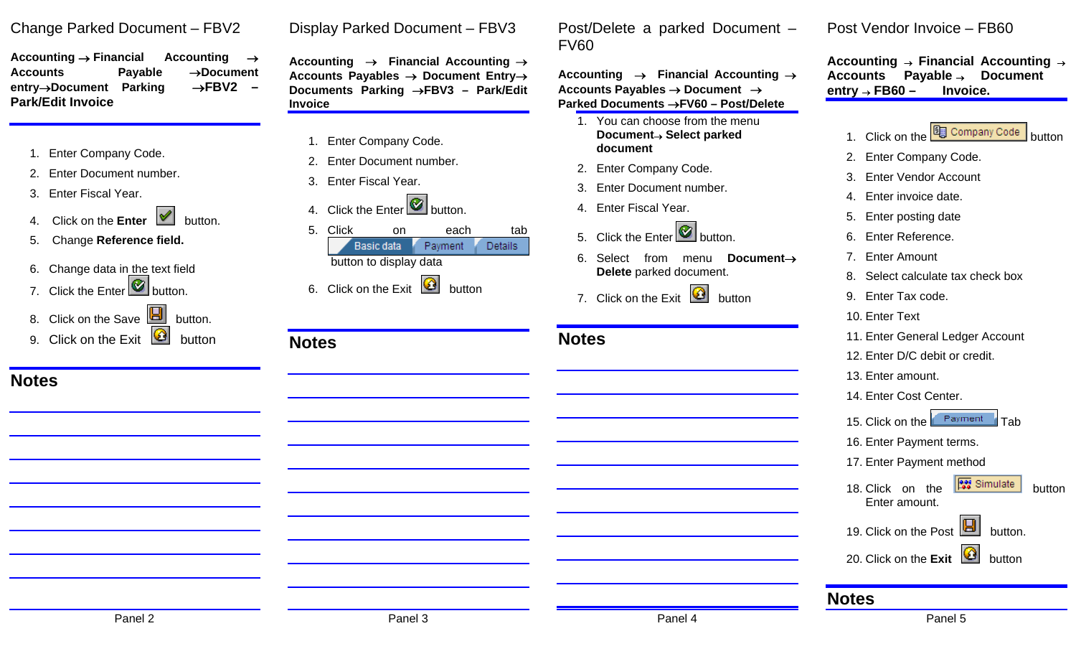### Change Parked Document – FBV2

**Accounting** → **Financial Accounting** <sup>→</sup> **Accounts Payable** →**Document entry**→**Document Parking** →**FBV2 – Park/Edit Invoice** 

- 1. Enter Company Code.
- 2. Enter Document number.
- 3. Enter Fiscal Year.
- **Click on the Enter M** button.
- 5. Change **Reference field.**
- 6. Change data in the text field
- 7. Click the Enter button.

**Notes** 

- 8. Click on the Save **button**.
- 9. Click on the Exit **button**

Display Parked Document – FBV3

**Accounting** → **Financial Accounting** <sup>→</sup> **Accounts Payables** → **Document Entry**<sup>→</sup> **Documents Parking** →**FBV3 – Park/Edit Invoice** 

- 1. Enter Company Code.
- 2. Enter Document number.
- 3. Enter Fiscal Year.

**Notes** 

4. Click the Enter  $\bullet$  button.



6. Click on the Exit  $\Box$  button

| Post/Delete a parked Document - |  |  |
|---------------------------------|--|--|
| FV60                            |  |  |

**Accounting** → **Financial Accounting** <sup>→</sup> **Accounts Payables** → **Document** <sup>→</sup> **Parked Documents** →**FV60 – Post/Delete** 

- 1. You can choose from the menu **Document**→ **Select parked document**
- 2. Enter Company Code.
- 3. Enter Document number.
- 4. Enter Fiscal Year.
- 5. Click the Enter **button**.
- 6. Select from menu **Document**→**Delete** parked document.
- 7. Click on the Exit **Button**

### **Notes**

#### Post Vendor Invoice – FB60

**Accounting** → **Financial Accounting** <sup>→</sup> **Accounts Payable** → **Document entry** → **FB60 – Invoice.** 

- 1. Click on the **B** Company Code button
- 2. Enter Company Code.
- 3. Enter Vendor Account
- 4. Enter invoice date.
- 5. Enter posting date
- 6. Enter Reference.
- 7. Enter Amount
- 8. Select calculate tax check box
- 9. Enter Tax code.
- 10. Enter Text
- 11. Enter General Ledger Account
- 12. Enter D/C debit or credit.
- 13. Enter amount.
- 14. Enter Cost Center.
- 15. Click on the **Fayment** Tab
- 16. Enter Payment terms.
- 17. Enter Payment method
- 18. Click on the **BU** Simulate button Enter amount.
- 19. Click on the Post  $\boxed{E}$  button.
- 20. Click on the **Exit** button

#### **Notes**

Panel 2 Panel 3 Panel 4 Panel 5